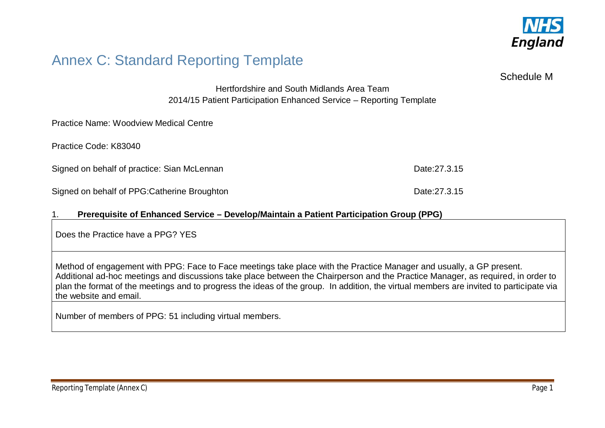

# Annex C: Standard Reporting Template

Schedule M

Hertfordshire and South Midlands Area Team 2014/15 Patient Participation Enhanced Service – Reporting Template

Practice Name: Woodview Medical Centre

Practice Code: K83040

Signed on behalf of practice: Sian McLennan Date:27.3.15

Signed on behalf of PPG:Catherine Broughton Date:27.3.15

# 1. **Prerequisite of Enhanced Service – Develop/Maintain a Patient Participation Group (PPG)**

Does the Practice have a PPG? YES

Method of engagement with PPG: Face to Face meetings take place with the Practice Manager and usually, a GP present. Additional ad-hoc meetings and discussions take place between the Chairperson and the Practice Manager, as required, in order to plan the format of the meetings and to progress the ideas of the group. In addition, the virtual members are invited to participate via the website and email.

Number of members of PPG: 51 including virtual members.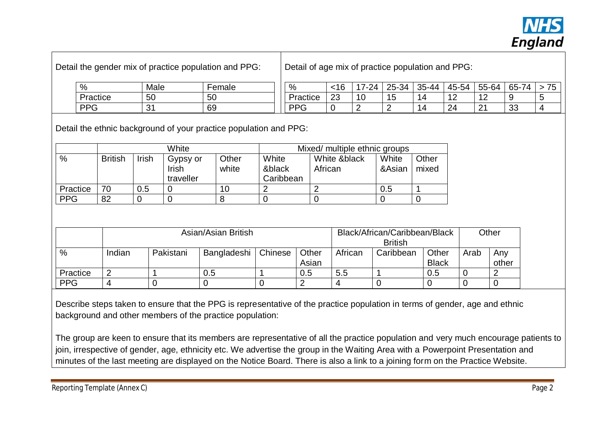

Detail the gender mix of practice population and PPG:

Detail of age mix of practice population and PPG:

| %          | Male        | emale | %          | <16      | $\rightarrow$<br>7-24 | $25 -$<br>$-34$ | 35-44 | 45-<br>$-54$  | 55-64         | $65 - 7$<br>$\boldsymbol{A}$ | $ -$<br>ັບ |
|------------|-------------|-------|------------|----------|-----------------------|-----------------|-------|---------------|---------------|------------------------------|------------|
| Practice   | 50          | 50    | Practice   | ົດ<br>∠J | 10                    | 15              |       | $\sim$<br>. . | ╺             |                              |            |
| <b>PPG</b> | $\sim$<br>ີ | 69    | <b>DDC</b> |          | -                     | -               |       | 24            | $\Omega$<br>- | $\Omega$<br>ິ                |            |

Detail the ethnic background of your practice population and PPG:

|            |                |       | White     |       | Mixed/ multiple ethnic groups |              |        |       |  |  |
|------------|----------------|-------|-----------|-------|-------------------------------|--------------|--------|-------|--|--|
| %          | <b>British</b> | Irish | Gypsy or  | Other | White                         | White &black | White  | Other |  |  |
|            |                |       | Irish     | white | &black                        | African      | &Asian | mixed |  |  |
|            |                |       | traveller |       | Caribbean                     |              |        |       |  |  |
| Practice   | 70             | 0.5   |           | 10    |                               |              | 0.5    |       |  |  |
| <b>PPG</b> | 82             | 0     |           |       |                               |              |        |       |  |  |

|            | Asian/Asian British |           |             |         |                | Black/African/Caribbean/Black | Other     |                       |      |              |
|------------|---------------------|-----------|-------------|---------|----------------|-------------------------------|-----------|-----------------------|------|--------------|
| %          | Indian              | Pakistani | Bangladeshi | Chinese | Other<br>Asian | African                       | Caribbean | Other<br><b>Black</b> | Arab | Any<br>other |
| Practice   | റ                   |           | 0.5         |         | 0.5            | 5.5                           |           | 0.5                   |      |              |
| <b>PPG</b> |                     |           |             |         |                |                               |           |                       |      |              |

Describe steps taken to ensure that the PPG is representative of the practice population in terms of gender, age and ethnic background and other members of the practice population:

The group are keen to ensure that its members are representative of all the practice population and very much encourage patients to join, irrespective of gender, age, ethnicity etc. We advertise the group in the Waiting Area with a Powerpoint Presentation and minutes of the last meeting are displayed on the Notice Board. There is also a link to a joining form on the Practice Website.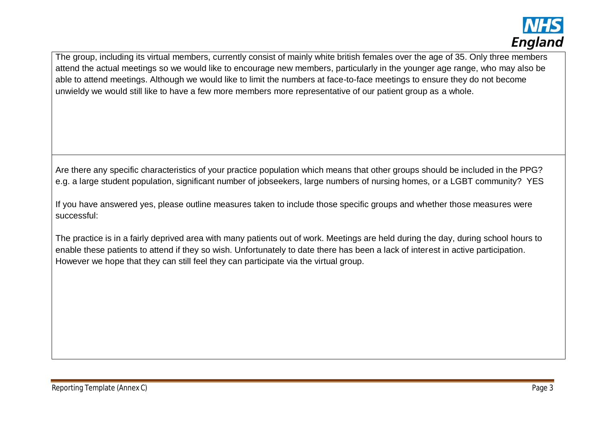

The group, including its virtual members, currently consist of mainly white british females over the age of 35. Only three members attend the actual meetings so we would like to encourage new members, particularly in the younger age range, who may also be able to attend meetings. Although we would like to limit the numbers at face-to-face meetings to ensure they do not become unwieldy we would still like to have a few more members more representative of our patient group as a whole.

Are there any specific characteristics of your practice population which means that other groups should be included in the PPG? e.g. a large student population, significant number of jobseekers, large numbers of nursing homes, or a LGBT community? YES

If you have answered yes, please outline measures taken to include those specific groups and whether those measures were successful:

The practice is in a fairly deprived area with many patients out of work. Meetings are held during the day, during school hours to enable these patients to attend if they so wish. Unfortunately to date there has been a lack of interest in active participation. However we hope that they can still feel they can participate via the virtual group.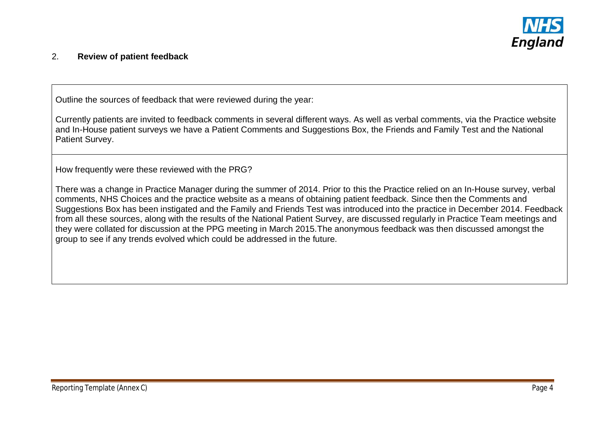

# 2. **Review of patient feedback**

Outline the sources of feedback that were reviewed during the year:

Currently patients are invited to feedback comments in several different ways. As well as verbal comments, via the Practice website and In-House patient surveys we have a Patient Comments and Suggestions Box, the Friends and Family Test and the National Patient Survey.

How frequently were these reviewed with the PRG?

There was a change in Practice Manager during the summer of 2014. Prior to this the Practice relied on an In-House survey, verbal comments, NHS Choices and the practice website as a means of obtaining patient feedback. Since then the Comments and Suggestions Box has been instigated and the Family and Friends Test was introduced into the practice in December 2014. Feedback from all these sources, along with the results of the National Patient Survey, are discussed regularly in Practice Team meetings and they were collated for discussion at the PPG meeting in March 2015.The anonymous feedback was then discussed amongst the group to see if any trends evolved which could be addressed in the future.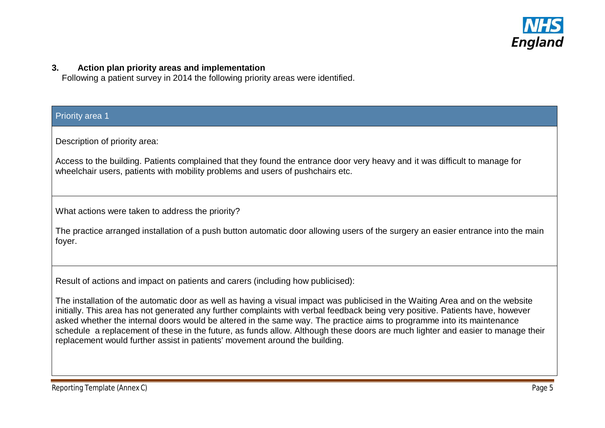

## **3. Action plan priority areas and implementation**

Following a patient survey in 2014 the following priority areas were identified.

| <b>Priority area 1</b>                                                                                                                                                                                                                                                                                                                                                                                                                                                                                                                                                                                       |
|--------------------------------------------------------------------------------------------------------------------------------------------------------------------------------------------------------------------------------------------------------------------------------------------------------------------------------------------------------------------------------------------------------------------------------------------------------------------------------------------------------------------------------------------------------------------------------------------------------------|
| Description of priority area:                                                                                                                                                                                                                                                                                                                                                                                                                                                                                                                                                                                |
| Access to the building. Patients complained that they found the entrance door very heavy and it was difficult to manage for<br>wheelchair users, patients with mobility problems and users of pushchairs etc.                                                                                                                                                                                                                                                                                                                                                                                                |
| What actions were taken to address the priority?                                                                                                                                                                                                                                                                                                                                                                                                                                                                                                                                                             |
| The practice arranged installation of a push button automatic door allowing users of the surgery an easier entrance into the main<br>foyer.                                                                                                                                                                                                                                                                                                                                                                                                                                                                  |
| Result of actions and impact on patients and carers (including how publicised):                                                                                                                                                                                                                                                                                                                                                                                                                                                                                                                              |
| The installation of the automatic door as well as having a visual impact was publicised in the Waiting Area and on the website<br>initially. This area has not generated any further complaints with verbal feedback being very positive. Patients have, however<br>asked whether the internal doors would be altered in the same way. The practice aims to programme into its maintenance<br>schedule a replacement of these in the future, as funds allow. Although these doors are much lighter and easier to manage their<br>replacement would further assist in patients' movement around the building. |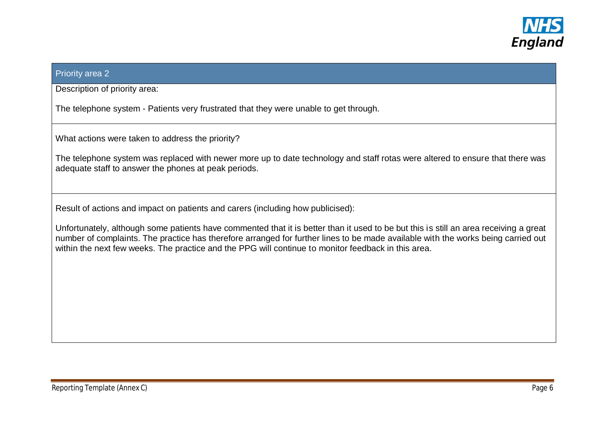

#### Priority area 2

Description of priority area:

The telephone system - Patients very frustrated that they were unable to get through.

What actions were taken to address the priority?

The telephone system was replaced with newer more up to date technology and staff rotas were altered to ensure that there was adequate staff to answer the phones at peak periods.

Result of actions and impact on patients and carers (including how publicised):

Unfortunately, although some patients have commented that it is better than it used to be but this is still an area receiving a great number of complaints. The practice has therefore arranged for further lines to be made available with the works being carried out within the next few weeks. The practice and the PPG will continue to monitor feedback in this area.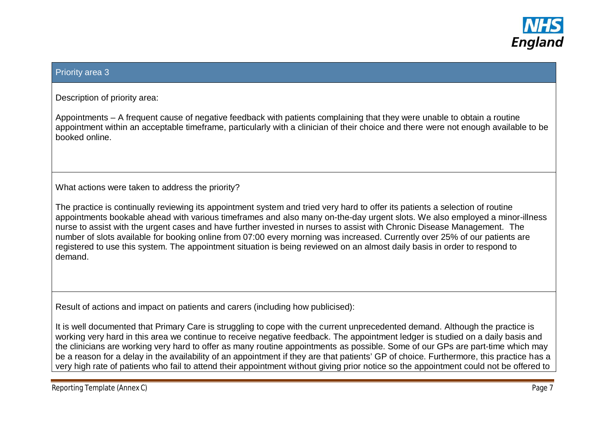

### Priority area 3

Description of priority area:

Appointments – A frequent cause of negative feedback with patients complaining that they were unable to obtain a routine appointment within an acceptable timeframe, particularly with a clinician of their choice and there were not enough available to be booked online.

What actions were taken to address the priority?

The practice is continually reviewing its appointment system and tried very hard to offer its patients a selection of routine appointments bookable ahead with various timeframes and also many on-the-day urgent slots. We also employed a minor-illness nurse to assist with the urgent cases and have further invested in nurses to assist with Chronic Disease Management. The number of slots available for booking online from 07:00 every morning was increased. Currently over 25% of our patients are registered to use this system. The appointment situation is being reviewed on an almost daily basis in order to respond to demand.

Result of actions and impact on patients and carers (including how publicised):

It is well documented that Primary Care is struggling to cope with the current unprecedented demand. Although the practice is working very hard in this area we continue to receive negative feedback. The appointment ledger is studied on a daily basis and the clinicians are working very hard to offer as many routine appointments as possible. Some of our GPs are part-time which may be a reason for a delay in the availability of an appointment if they are that patients' GP of choice. Furthermore, this practice has a very high rate of patients who fail to attend their appointment without giving prior notice so the appointment could not be offered to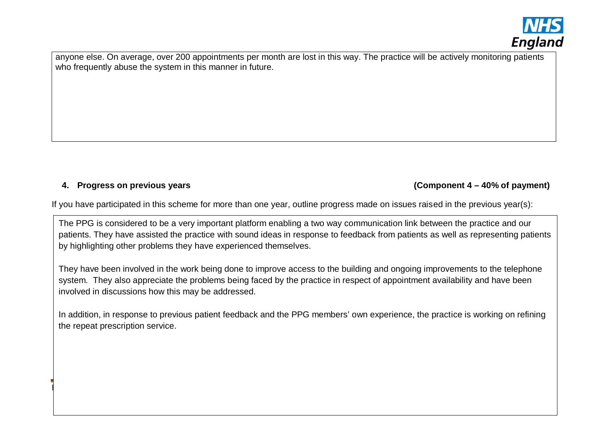

anyone else. On average, over 200 appointments per month are lost in this way. The practice will be actively monitoring patients who frequently abuse the system in this manner in future.

ֺ

**4. Progress on previous years (Component 4 – 40% of payment)**

If you have participated in this scheme for more than one year, outline progress made on issues raised in the previous year(s):

The PPG is considered to be a very important platform enabling a two way communication link between the practice and our patients. They have assisted the practice with sound ideas in response to feedback from patients as well as representing patients by highlighting other problems they have experienced themselves.

They have been involved in the work being done to improve access to the building and ongoing improvements to the telephone system. They also appreciate the problems being faced by the practice in respect of appointment availability and have been involved in discussions how this may be addressed.

In addition, in response to previous patient feedback and the PPG members' own experience, the practice is working on refining the repeat prescription service.

Reporting Template (Annex C) Page 8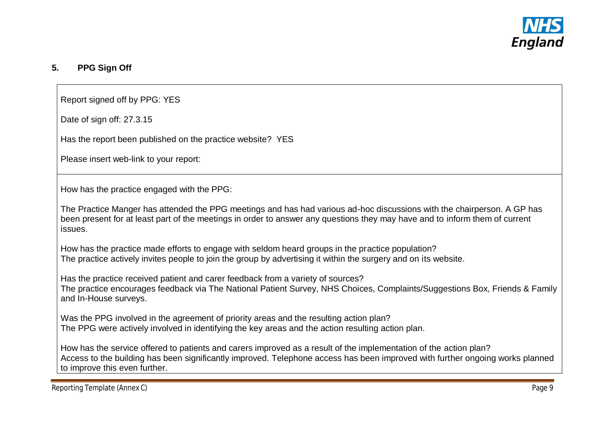

# **5. PPG Sign Off**

Report signed off by PPG: YES

Date of sign off: 27.3.15

Has the report been published on the practice website? YES

Please insert web-link to your report:

How has the practice engaged with the PPG:

The Practice Manger has attended the PPG meetings and has had various ad-hoc discussions with the chairperson. A GP has been present for at least part of the meetings in order to answer any questions they may have and to inform them of current issues.

How has the practice made efforts to engage with seldom heard groups in the practice population? The practice actively invites people to join the group by advertising it within the surgery and on its website.

Has the practice received patient and carer feedback from a variety of sources? The practice encourages feedback via The National Patient Survey, NHS Choices, Complaints/Suggestions Box, Friends & Family and In-House surveys.

Was the PPG involved in the agreement of priority areas and the resulting action plan? The PPG were actively involved in identifying the key areas and the action resulting action plan.

How has the service offered to patients and carers improved as a result of the implementation of the action plan? Access to the building has been significantly improved. Telephone access has been improved with further ongoing works planned to improve this even further.